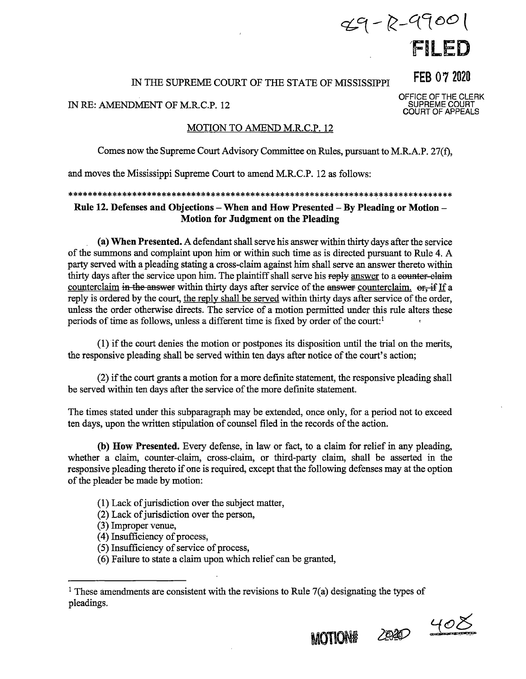$29 - 2 - 9900$ FILED

FEB 07 2020

OFFICE OF THE CLERK SUPREME COURT COURT OF APPEALS

#### IN THE SUPREME COURT OF THE STATE OF MISSISSIPPI

#### IN RE: AMENDMENT OF M.R.C.P. 12

#### MOTION TO AMEND M.R.C.P. 12

Comes now the Supreme Court Advisory Committee on Rules, pursuant to M.R.A.P. 27(f),

and moves the Mississippi Supreme Court to amend M.R.C.P. 12 as follows:

# \*\*\*\*\*\*\*\*\*\*\*\*\*\*\*\*\*\*\*\*\*\*\*\*\*\*\*\*\*\*\*\*\*\*\*\*\*\*\*\*\*\*\*\*\*\*\*\*\*\*\*\*\*\*\*\*\*\*\*\*\*\*\*\*\*\*\*\*\*\*\*\*\*\*\*\*\*\* **Rule 12. Defenses and Objections** - **When and How Presented** - **By Pleading or Motion** - **Motion for Judgment on the Pleading**

**(a) When Presented.** A defendant shall serve his answer within thirty days after the service of the summons and complaint upon him or within such time as is directed pursuant to Rule 4. A party served with a pleading stating a cross-claim against him shall serve an answer thereto within thirty days after the service upon him. The plaintiff shall serve his reply answer to a counter-claim counterclaim in the answer within thirty days after service of the answer counterclaim.  $\sigma_{\text{F},\text{F}}$  if a reply is ordered by the court, the reply shall be served within thirty days after service of the order, unless the order otherwise directs. The service of a motion permitted under this rule alters these periods of time as follows, unless a different time is fixed by order of the court:<sup>1</sup>

(1) if the court denies the motion or postpones its disposition until the trial on the merits, the responsive pleading shall be served within ten days after notice of the court's action;

(2) if the court grants a motion for a more definite statement, the responsive pleading shall be served within ten days after the service of the more definite statement.

The times stated under this subparagraph may be extended, once only, for a period not to exceed ten days, upon the written stipulation of counsel filed in the records of the action.

**(b) How Presented.** Every defense, in law or fact, to a claim for relief in any pleading, whether a claim, counter-claim, cross-claim, or third-party claim, shall be asserted in the responsive pleading thereto if one is required, except that the following defenses may at the option of the pleader be made by motion:

- (1) Lack of jurisdiction over the subject matter,
- (2) Lack of jurisdiction over the person,
- (3) Improper venue,
- ( 4) Insufficiency of process,
- ( 5) Insufficiency of service of process,
- (6) Failure to state a claim upon which relief can be granted,

**MOTION#** 2020 408



<sup>&</sup>lt;sup>1</sup> These amendments are consistent with the revisions to Rule  $7(a)$  designating the types of pleadings.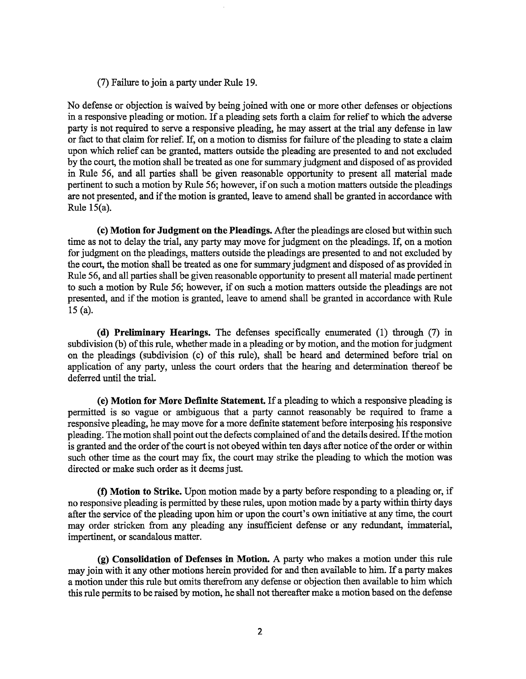(7) Failure to join a party under Rule 19.

No defense or objection is waived by being joined with one or more other defenses or objections in a responsive pleading or motion. If a pleading sets forth a claim for relief to which the adverse party is not required to serve a responsive pleading, he may assert at the trial any defense in law or fact to that claim for relief. If, on a motion to dismiss for failure of the pleading to state a claim upon which relief can be granted, matters outside the pleading are presented to and not excluded by the court, the motion shall be treated as one for summary judgment and disposed of as provided in Rule 56, and all parties shall be given reasonable opportunity to present all material made pertinent to such a motion by Rule 56; however, if on such a motion matters outside the pleadings are not presented, and if the motion is granted, leave to amend shall be granted in accordance with Rule 15(a).

( **c) Motion for Judgment on the Pleadings.** After the pleadings are closed but within such time as not to delay the trial, any party may move for judgment on the pleadings. If, on a motion for judgment on the pleadings, matters outside the pleadings are presented to and not excluded by the court, the motion shall be treated as one for summary judgment and disposed of as provided in Rule 56, and all parties shall be given reasonable opportunity to present all material made pertinent to such a motion by Rule 56; however, if on such a motion matters outside the pleadings are not presented, and if the motion is granted, leave to amend shall be granted in accordance with Rule 15 (a).

**(d) Preliminary Hearings.** The defenses specifically enumerated (1) through (7) in subdivision (b) of this rule, whether made in a pleading or by motion, and the motion for judgment on the pleadings (subdivision (c) of this rule), shall be heard and determined before trial on application of any party, unless the court orders that the hearing and determination thereof be deferred until the trial.

( **e) Motion for More Definite Statement** If a pleading to which a responsive pleading is permitted is so vague or ambiguous that a party cannot reasonably be required to frame a responsive pleading, he may move for a more definite statement before interposing his responsive pleading. The motion shall point out the defects complained of and the details desired. If the motion is granted and the order of the court is not obeyed within ten days after notice of the order or within such other time as the court may fix, the court may strike the pleading to which the motion was directed or make such order as it deems just.

**(f) Motion to Strike.** Upon motion made by a party before responding to a pleading or, if no responsive pleading is permitted by these rules, upon motion made by a party within thirty days after the service of the pleading upon him or upon the court's own initiative at any time, the court may order stricken from any pleading any insufficient defense or any redundant, immaterial, impertinent, or scandalous matter.

**(g) Consolidation of Defenses in Motion.** A party who makes a motion under this rule may join with it any other motions herein provided for and then available to him. If a party makes a motion under this rule but omits therefrom any defense or objection then available to him which this rule permits to be raised by motion, he shall not thereafter make a motion based on the defense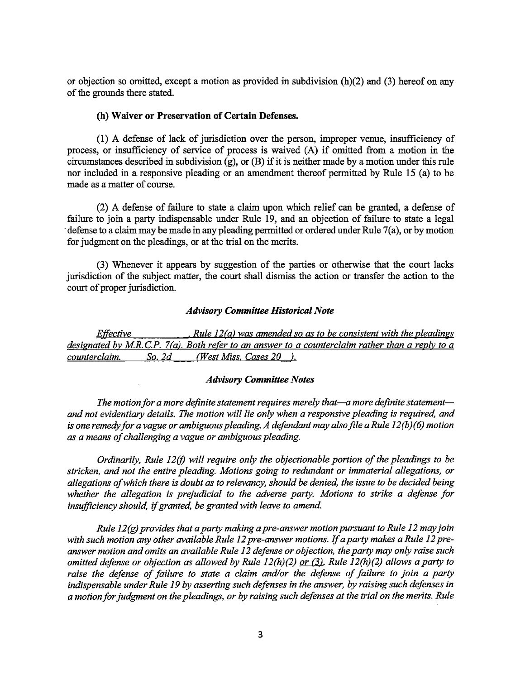or objection so omitted, except a motion as provided in subdivision  $(h)(2)$  and  $(3)$  hereof on any of the grounds there stated.

## **(h) Waiver or Preservation of Certain Defenses.**

(1) A defense of lack of jurisdiction over the person, improper venue, insufficiency of process, or insufficiency of service of process is waived (A) if omitted from a motion in the circumstances described in subdivision (g), or (B) if it is neither made by a motion under this rule nor included in a responsive pleading or an amendment thereof permitted by Rule 15 (a) to be made as a matter of course.

(2) A defense of failure to state a claim upon which relief can be granted, a defense of failure to join a party indispensable under Rule 19, and an objection of failure to state a legal defense to a claim may be made in any pleading permitted or ordered under Rule 7(a), or by motion for judgment on the pleadings, or at the trial on the merits.

(3) Whenever it appears by suggestion of the parties or otherwise that the court lacks jurisdiction of the subject matter, the court shall dismiss the action or transfer the action to the court of proper jurisdiction.

## *Advisory Committee Historical Note*

*Effective* **•**  *Rule 12(a) was amended so as to be consistent with the pleadings designated by MR.C.P. 7(a). Both refer to an answer to a counterclaim rather than a reply to a counterclaim. So. 2d (West Miss. Cases 20 ).* 

## *Advisory Committee Notes*

*The motion for a more definite statement requires merely that-a more definite statementand not evidentiary details. The motion will lie only when a responsive pleading is required, and is one remedy for a vague or ambiguous pleading. A defendant may also file a Rule 12 (b} ( 6) motion as a means of challenging a vague or ambiguous pleading.* 

*Ordinarily, Rule 12(f) will require only the objectionable portion of the pleadings to be stricken, and not the entire pleading. Motions going to redundant or immaterial allegations, or allegations of which there is doubt as to relevancy, should be denied, the issue to be decided being whether the allegation is prejudicial to the adverse party. Motions to strike a defense for insufficiency should, if granted, be granted with leave to amend.* 

*Rule 12(g) provides that a party making a pre-answer motion pursuant to Rule 12 may join with such motion any other available Rule 12 pre-answer motions. If a party makes a Rule 12 preanswer motion and omits an available Rule 12 defense or objection, the party may only raise such omitted defense or objection as allowed by Rule 12(h)(2) or (3). Rule 12(h)(2) allows a party to raise the defense of failure to state a claim and/or the defense of failure to join a party indispensable under Rule 19 by asserting such defenses in the answer, by raising such defenses in a motion for judgment on the pleadings, or by raising such defenses at the trial on the merits. Rule*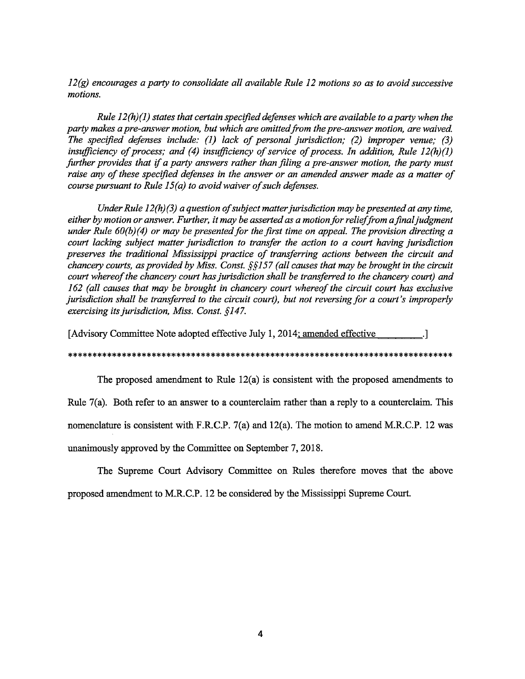*12(g) encourages a party to consolidate all available Rule 12 motions so as to avoid successive motions.* 

*Rule l 2(h)(l) states that certain specified defenses which are available to a party when the party makes a pre-answer motion, but which are omitted from the pre-answer motion, are waived The specified defenses include: (1) lack of personal jurisdiction; (2) improper venue; (3) insufficiency of process; and (4) insufficiency of service of process. In addition, Rule l 2(h)(l) further provides that if a party answers rather than filing a pre-answer motion, the party must raise any of these specified defenses in the answer or an amended answer made as a matter of course pursuant to Rule 15(a) to avoid waiver of such defenses.* 

*Under Rule l 2(h)(3) a question of subject matter jurisdiction may be presented at any time, either by motion or answer. Further, it may be asserted as a motion for relief from a final judgment*  under Rule 60(b)(4) or may be presented for the first time on appeal. The provision directing a *court lacking subject matter jurisdiction to transfer the action to a court having jurisdiction preserves the traditional Mississippi practice of transferring actions between the circuit and chancery courts, as provided by Miss. Const. § § 15* 7 ( *all causes that may be brought in the circuit court whereof the chancery court has jurisdiction shall be transferred to the chancery court) and 162 (all causes that may be brought in chancery court whereof the circuit court has exclusive jurisdiction shall be transferred to the circuit court), but not reversing for a court's improperly exercising its jurisdiction, Miss. Const. §147.* 

[Advisory Committee Note adopted effective July 1, 2014: amended effective .]

#### \*\*\*\*\*\*\*\*\*\*\*\*\*\*\*\*\*\*\*\*\*\*\*\*\*\*\*\*\*\*\*\*\*\*\*\*\*\*\*\*\*\*\*\*\*\*\*\*\*\*\*\*\*\*\*\*\*\*\*\*\*\*\*\*\*\*\*\*\*\*\*\*\*\*\*\*\*\*

The proposed amendment to Rule 12(a) is consistent with the proposed amendments to

Rule  $7(a)$ . Both refer to an answer to a counterclaim rather than a reply to a counterclaim. This

nomenclature is consistent with F.R.C.P. 7(a) and 12(a). The motion to amend M.R.C.P. 12 was

unanimously approved by the Committee on September 7, 2018.

The Supreme Court Advisory Committee on Rules therefore moves that the above proposed amendment to M.R. C.P. 12 be considered by the Mississippi Supreme Court.